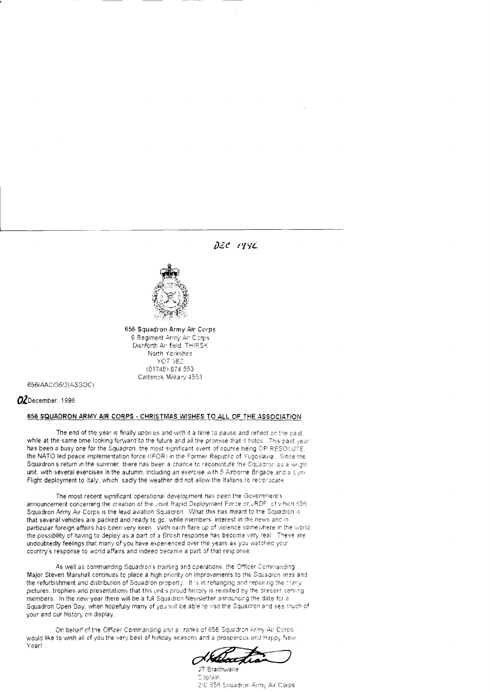$Dze$   $199C$ 



656 Squadron Army Air Corps 9 Regiment Army Air Corps Dishforth Air field THIRSK North Yorkshire YO7 3EZ (01748) 874 553 Catterick Military 4553

656/AAC/36/2(ASSOC)

OZDecember. 1996

# 656 SQUADRON ARMY AIR CORPS - CHRISTMAS WISHES TO ALL OF THE ASSOCIATION

The end of the year is finally upon us and with it a time to pause and reflect on the past. while at the same time looking forward to the future and all the promise that it holds. This past year has been a busy one for the Squadron, the most significant event of course being OP RESOLUTE. the NATO led peace implementation force (IFOR) in the Former Republic of Yugoslavia. Since the Squadron's return in the summer, there has been a chance to reconstitute the Squadron as a single unit, with several exercises in the autumn, including an exercise with 5 Airborne Brigade and a Lynx Flight deployment to Italy, which, sadly the weather did not allow the Italians to reciprocate

The most recent significant operational development has been the Government's announcement concerning the creation of the Joint Rapid Deployment Force or JRDF, of which 656 Squadron Army Air Corps is the lead aviation Squadron. What this has meant to the Squadron is that several vehicles are packed and ready to go. while members' interest in the news and in particular foreign affairs has been very keen. With each flare up of violence somewhere in the world. the possibility of having to deploy as a part of a British response has become very real. These are undoubtedly feelings that many of you have experienced over the years as you watched your country's response to world affairs and indeed became a part of that response.

As well as commanding Squadron's training and operations, the Officer Commanding, Major Steven Marshall continues to place a high priority on improvements to the Squadron lines and the refurbishment and distribution of Squadron property. It is in rehanging and repairing the mariy pictures, trophies and presentations that this unit's proud history is revisited by the present serving members. In the new year there will be a full Squadron Newsletter announcing the date for a Squadron Open Day, when hopefully many of you will be able to visit the Squadron and see much of your and our history on display.

On behalf of the Officer Commanding and all ranks of 656 Squadron Army Air Corps. would like to wish all of you the very best of holiday seasons and a prospercus and Happy New Year!

æ

JT Braithwaite Captain 2IC 656 Squadron Army Air Corps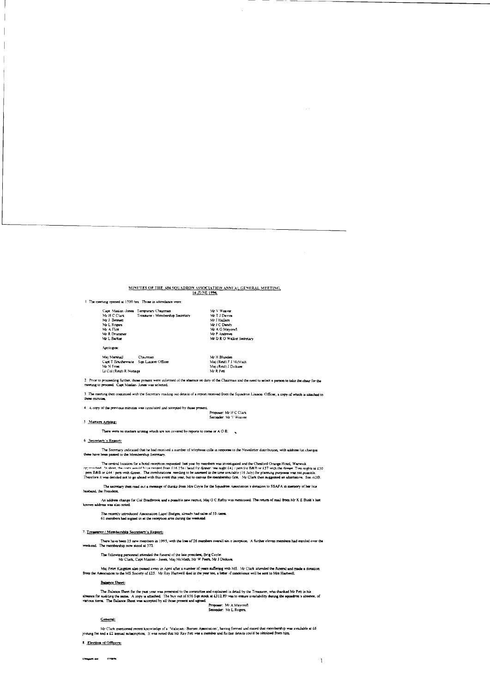# MINUTES OF THE 656 SQUADRON ASSOCIATION ANNUAL GENERAL MEETING.

1 The meeting opened at 1500 hrs. Those in attendance were

|                         | Capt Masien-Jones Temporary Chairman | Mr V Weaver               |
|-------------------------|--------------------------------------|---------------------------|
| Mr H C Clark            | Treasurer / Membership Secretary     | Mr T J Davies             |
| Mr J Remett             |                                      | Mr J Hailam               |
| Mr L Rogers             |                                      | Mr J C Dandy              |
| Mr A Flint              |                                      | Mr A G Maveron            |
| <b>Mr. R. Drummer</b>   |                                      | Mr P Andrews              |
| Mr L Barker             |                                      | Mr D R O Walker Secretary |
| Apologica:              |                                      |                           |
| Mai Marshall            | Chairman                             | Mr H Blunden              |
| Capt T Braithewaite     | San Luauson Officer                  | Mai (Reid) F J McMath     |
| Mr N From               |                                      | Mai (Reid) J Dickson      |
| Li Col (Reid) R Nottage |                                      | Mr R Pen                  |
|                         |                                      |                           |

2. Frior to proceeding further, those present were informed of the absence on duty of the Chairman and the need to select a person to take the chair for the meeting to proceed. Capt Mailen-Jones was selected.

3. The meeting then continued with the Secretary reading out details of a report received from the Squadron Lisison. Officer, a copy of which is attached to

these minutes.<br>4. A copy of the previous minutes was circulated and accepted by those present.<br>Seconder: Mr V Weaver

### 5 Matters Arising:

 $T<sub>box</sub>$ were no mattern arising which are not covered by reports to come or  $A$  O B.  $\rightarrow$ 

### 6 Secretary's Report:

The Secretary indicated that he had received a number of telephone calls in response to the Newsletter distribution, with address list changes

The central location for a hotal reception requested last year by members was investigated and the Cheslord Grange Hotel, Warwick<br>There held by sheet, the centre would by a repet from 1.6.150 chead for disposer, we maybe 1

The secretary then read out a message of thanks from Mrt Coyle for the Squadron Association's donation to SSAFA in memory of her late husband, the President,

An address change for Col-Bradbrook and a possible new recruit, Maj G C Refoy was mentioned. The return of mail from Mr K E Bush's last

The recently introduced Association Lapel Badges, already had sales of 53 items.<br>61 members had signed in at the reception area during the weekend

#### 7. Treasurer / Membership Secretary's Report:

There have been 25 new members in 1995, with the loss of 26 members overall sin a inception. A further cleves members had enroled over the weekend. The membership now stood at 372.

The following personnel attended the funeral of the late president, Brig Coyle:<br>Mr Clark, Capt Maslen - Jones, Maj McMath, Mr W Poers, Mr J Dickson,

Maj Peter Kingston also passed away in April after a number of years suffering with MS. Mr Clark attended the funeral and made a donation from the Amociation donation from the Amociation to the MS Society of £25. Mr Roy Ha

### **Balance Sheet:**

The Balance Sheet for the past year was presented to the committee and explained in detail by the Treasurer, who thanked Mr Pett in his<br>absence for auditing the same. A copy is attached. The buy out of 6:56 Sap stock at L3

Proposer: Mr A Maycroft<br>Seconder: Mr L Rogers.

#### General:

Mr Clark mentioned recent knowledge of a "Malayan / Borneo Amonation", having formed and stated that membership was available at 46 joining fee and a 42 annual subsemption. It was noted that Mr Ray Pett was a member and fi

### 8. Election of Officers: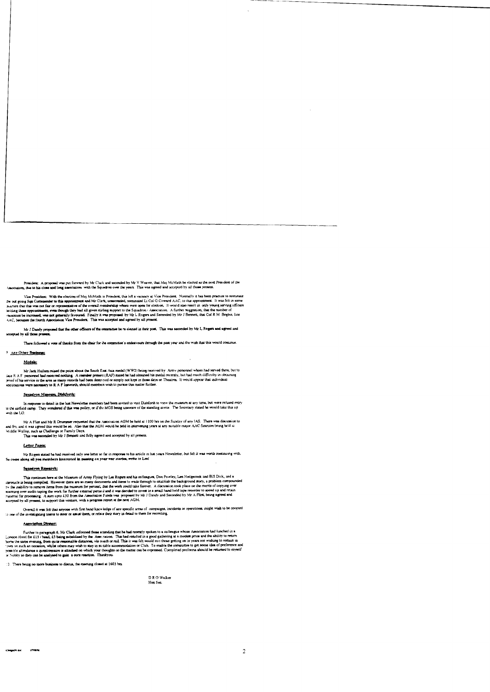President: A proposal was put forward by Mr Clark and seconded by Mr V Weaver, that Maj McMath be elected as the next President of the<br>et, due to his close and long association with the Squadron over the years. This was ag

Vice President: With the election of Maj McMath to President, this left a vacancy at Vice President. Normally it has been practice to nominate the outgoing Sqn Commander to this appointment and Mr Clink, unseconded, nonuna

Mr J Dandy proposed that the other officers of the committee be re-elected in their post. This was seconded by Mr L Rogers and agreed and several by all those a

There followed a vote of thanks from the chair for the commutee's endeavours through the past year and the wish that this would continue

## 9 Any Other Business:

### Medalui

Mr Jack Hallam mised the point about the South East Asia medal (WW2) being received by Army personnel whom had served there, but to the R A F personnel had neceived nothing. A member present (RAF) stated he had obtained hi

### Squadron Maseum, Dishforth:

in response to detail in the last Newsletter members had been invited to vast Dishforth to view the museum at any time, but were refused entry<br>with the LO. They wondered if this was policy, or if the MGS being unaware of t

Mr A Flint and Mr R Drummer requested that the Association AGM be held at 1100 hrs on the Sunday of any IAS. There was discussion to<br>Hiddle Wallop sace this would be so. Also that the AGM would be beld in intervening years

### Letter Pages

Mr Rogers stated he had received only one letter so far in response to his article in fast years Newsletter, but felt it was worth continuing with So come along all you members interested in pussing on your war stories, wr

### Squadron Repearch:

This continues here at the Museum of Army Flying by Les Rogers and his colleagues. Don Powley, Len Hedgeock and Bill Dick, and a caroucle is being compiled. However there are so many documents and items to wade through to

Overall it was felt that anyone with first hand knowledge of any specific areas of campaigns, incidents or operations, might wish to be coopted<br>he investigating teams to steer or assist them, or relate their story in detai to one of the invest

### Association Direter:

Further to paragraph 6, Mr Clark informed those attending that he had recently spoken to a colleague whose Association had lunched in these for all in the functions. This is the function in the good guidence of the functio

10. There being no more business to discus, the meeting closed at 1603 hrs.

DR O Walker Hon Sec